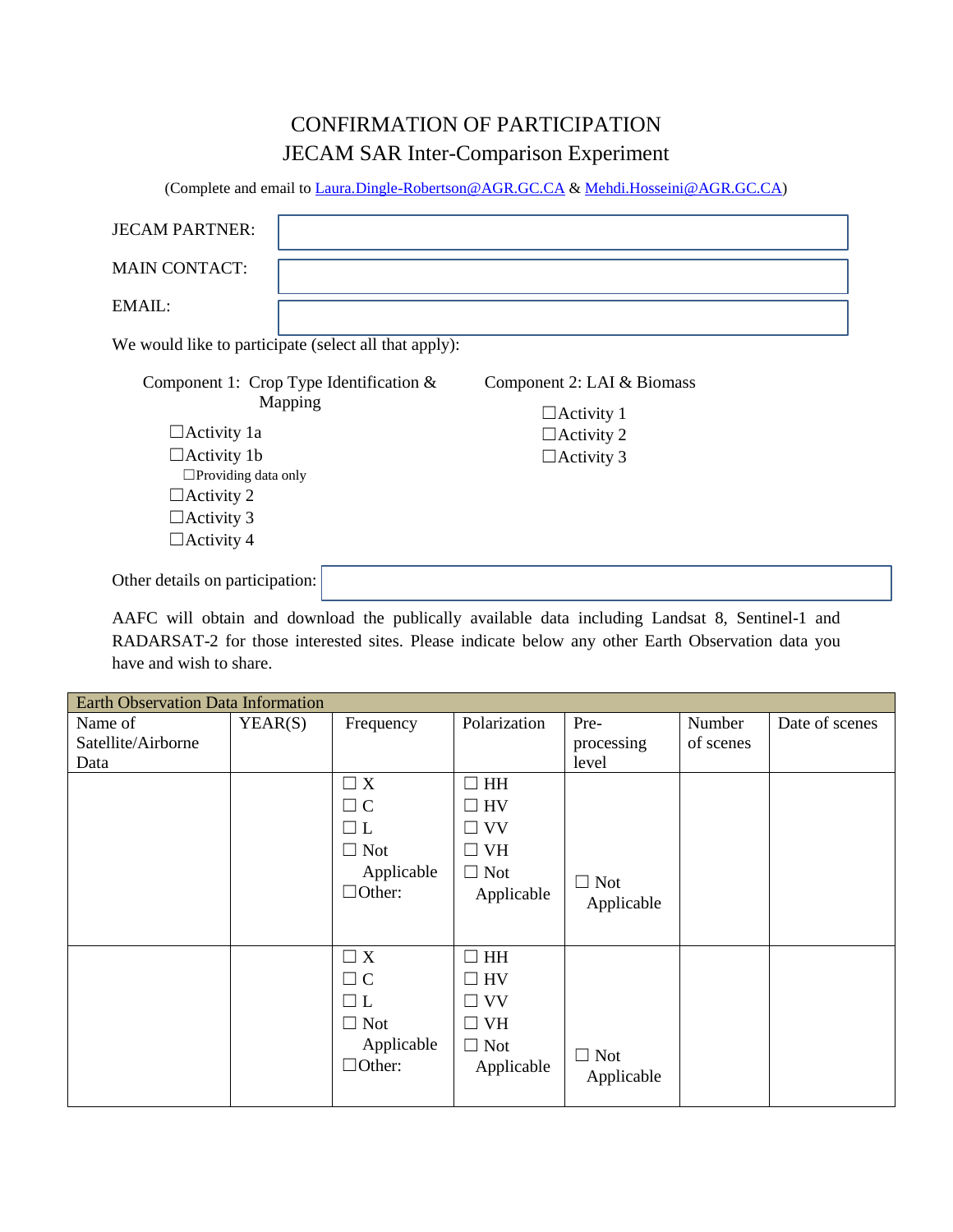## CONFIRMATION OF PARTICIPATION JECAM SAR Inter-Comparison Experiment

(Complete and email t[o Laura.Dingle-Robertson@AGR.GC.CA](mailto:Laura.Dingle-Robertson@AGR.GC.CA) & [Mehdi.Hosseini@AGR.GC.CA\)](mailto:Mehdi.Hosseini@AGR.GC.CA)

| <b>JECAM PARTNER:</b>                                 |  |                            |  |  |  |  |  |
|-------------------------------------------------------|--|----------------------------|--|--|--|--|--|
| <b>MAIN CONTACT:</b>                                  |  |                            |  |  |  |  |  |
| EMAIL:                                                |  |                            |  |  |  |  |  |
| We would like to participate (select all that apply): |  |                            |  |  |  |  |  |
| Component 1: Crop Type Identification $&$<br>Mapping  |  | Component 2: LAI & Biomass |  |  |  |  |  |
|                                                       |  | $\Box$ Activity 1          |  |  |  |  |  |
| $\Box$ Activity 1a                                    |  | $\Box$ Activity 2          |  |  |  |  |  |
| $\Box$ Activity 1b                                    |  | $\Box$ Activity 3          |  |  |  |  |  |
| $\Box$ Providing data only                            |  |                            |  |  |  |  |  |
| $\Box$ Activity 2                                     |  |                            |  |  |  |  |  |
| $\Box$ Activity 3                                     |  |                            |  |  |  |  |  |
| $\Box$ Activity 4                                     |  |                            |  |  |  |  |  |
| Other details on participation:                       |  |                            |  |  |  |  |  |

AAFC will obtain and download the publically available data including Landsat 8, Sentinel-1 and RADARSAT-2 for those interested sites. Please indicate below any other Earth Observation data you have and wish to share.

| <b>Earth Observation Data Information</b> |         |                      |              |                          |           |                |  |
|-------------------------------------------|---------|----------------------|--------------|--------------------------|-----------|----------------|--|
| Name of                                   | YEAR(S) | Frequency            | Polarization | Pre-                     | Number    | Date of scenes |  |
| Satellite/Airborne                        |         |                      |              | processing               | of scenes |                |  |
| Data                                      |         |                      |              | level                    |           |                |  |
|                                           |         | $\Box X$             | HH<br>$\Box$ |                          |           |                |  |
|                                           |         | $\Box$ C             | $\Box$ HV    |                          |           |                |  |
|                                           |         |                      | $\Box$ VV    |                          |           |                |  |
|                                           |         | $\Box$ Not           | $\Box$ VH    |                          |           |                |  |
|                                           |         | Applicable           | $\Box$ Not   |                          |           |                |  |
|                                           |         | $\Box$ Other:        | Applicable   | $\Box$ Not               |           |                |  |
|                                           |         |                      |              | Applicable               |           |                |  |
|                                           |         |                      |              |                          |           |                |  |
|                                           |         | $\Box X$             | $\Box$ HH    |                          |           |                |  |
|                                           |         | $\Box$ C             | $\Box$ HV    |                          |           |                |  |
|                                           |         |                      | $\Box$ VV    |                          |           |                |  |
|                                           |         | <b>Not</b><br>$\Box$ | $\Box$ VH    |                          |           |                |  |
|                                           |         | Applicable           | $\Box$ Not   |                          |           |                |  |
|                                           |         | $\Box$ Other:        | Applicable   | $\Box$ Not<br>Applicable |           |                |  |
|                                           |         |                      |              |                          |           |                |  |